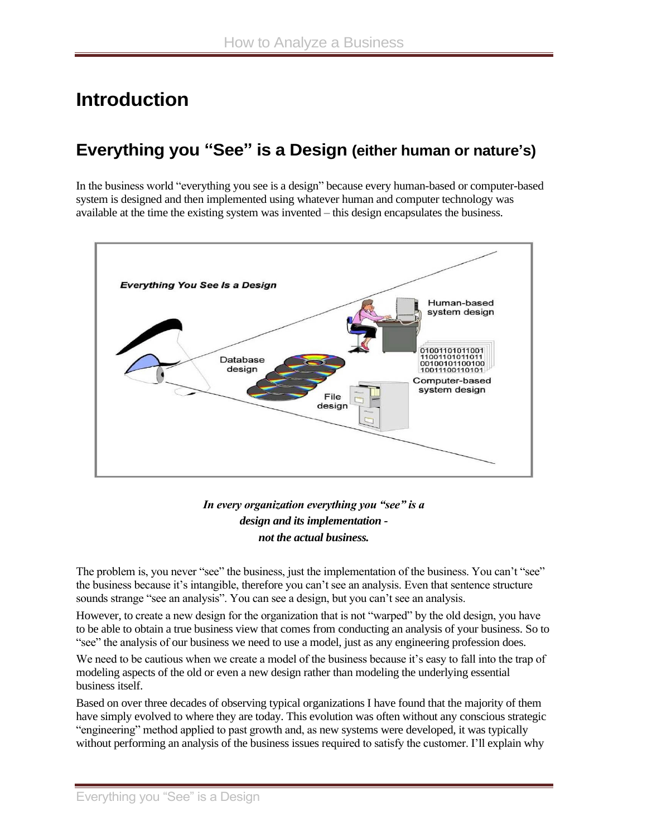# **Introduction**

### **Everything you "See" is a Design (either human or nature's)**

In the business world "everything you see is a design" because every human-based or computer-based system is designed and then implemented using whatever human and computer technology was available at the time the existing system was invented – this design encapsulates the business.



#### *In every organization everything you "see" is a design and its implementation not the actual business.*

The problem is, you never "see" the business, just the implementation of the business. You can't "see" the business because it's intangible, therefore you can't see an analysis. Even that sentence structure sounds strange "see an analysis". You can see a design, but you can't see an analysis.

However, to create a new design for the organization that is not "warped" by the old design, you have to be able to obtain a true business view that comes from conducting an analysis of your business. So to "see" the analysis of our business we need to use a model, just as any engineering profession does.

We need to be cautious when we create a model of the business because it's easy to fall into the trap of modeling aspects of the old or even a new design rather than modeling the underlying essential business itself.

Based on over three decades of observing typical organizations I have found that the majority of them have simply evolved to where they are today. This evolution was often without any conscious strategic "engineering" method applied to past growth and, as new systems were developed, it was typically without performing an analysis of the business issues required to satisfy the customer. I'll explain why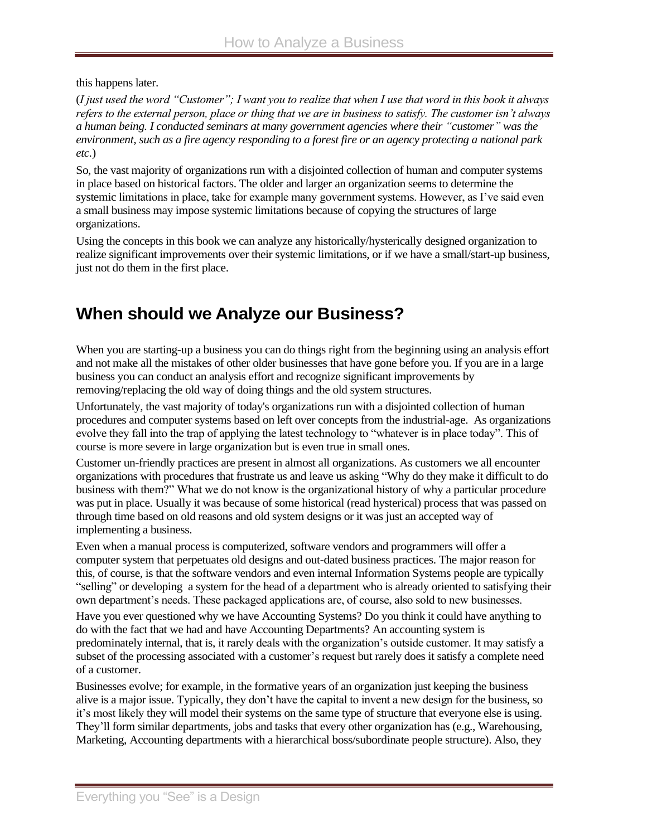this happens later.

(*I just used the word "Customer"; I want you to realize that when I use that word in this book it always refers to the external person, place or thing that we are in business to satisfy. The customer isn't always a human being. I conducted seminars at many government agencies where their "customer" was the environment, such as a fire agency responding to a forest fire or an agency protecting a national park etc.*)

So, the vast majority of organizations run with a disjointed collection of human and computer systems in place based on historical factors. The older and larger an organization seems to determine the systemic limitations in place, take for example many government systems. However, as I've said even a small business may impose systemic limitations because of copying the structures of large organizations.

Using the concepts in this book we can analyze any historically/hysterically designed organization to realize significant improvements over their systemic limitations, or if we have a small/start-up business, just not do them in the first place.

# **When should we Analyze our Business?**

When you are starting-up a business you can do things right from the beginning using an analysis effort and not make all the mistakes of other older businesses that have gone before you. If you are in a large business you can conduct an analysis effort and recognize significant improvements by removing/replacing the old way of doing things and the old system structures.

Unfortunately, the vast majority of today's organizations run with a disjointed collection of human procedures and computer systems based on left over concepts from the industrial-age. As organizations evolve they fall into the trap of applying the latest technology to "whatever is in place today". This of course is more severe in large organization but is even true in small ones.

Customer un-friendly practices are present in almost all organizations. As customers we all encounter organizations with procedures that frustrate us and leave us asking "Why do they make it difficult to do business with them?" What we do not know is the organizational history of why a particular procedure was put in place. Usually it was because of some historical (read hysterical) process that was passed on through time based on old reasons and old system designs or it was just an accepted way of implementing a business.

Even when a manual process is computerized, software vendors and programmers will offer a computer system that perpetuates old designs and out-dated business practices. The major reason for this, of course, is that the software vendors and even internal Information Systems people are typically "selling" or developing a system for the head of a department who is already oriented to satisfying their own department's needs. These packaged applications are, of course, also sold to new businesses.

Have you ever questioned why we have Accounting Systems? Do you think it could have anything to do with the fact that we had and have Accounting Departments? An accounting system is predominately internal, that is, it rarely deals with the organization's outside customer. It may satisfy a subset of the processing associated with a customer's request but rarely does it satisfy a complete need of a customer.

Businesses evolve; for example, in the formative years of an organization just keeping the business alive is a major issue. Typically, they don't have the capital to invent a new design for the business, so it's most likely they will model their systems on the same type of structure that everyone else is using. They'll form similar departments, jobs and tasks that every other organization has (e.g., Warehousing, Marketing, Accounting departments with a hierarchical boss/subordinate people structure). Also, they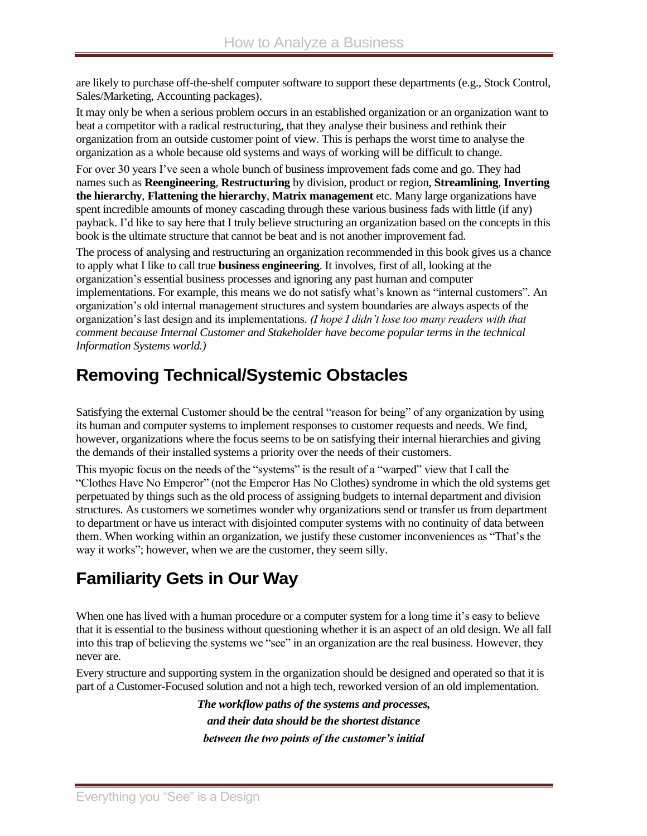are likely to purchase off-the-shelf computer software to support these departments (e.g., Stock Control, Sales/Marketing, Accounting packages).

It may only be when a serious problem occurs in an established organization or an organization want to beat a competitor with a radical restructuring, that they analyse their business and rethink their organization from an outside customer point of view. This is perhaps the worst time to analyse the organization as a whole because old systems and ways of working will be difficult to change.

For over 30 years I've seen a whole bunch of business improvement fads come and go. They had names such as **Reengineering**, **Restructuring** by division, product or region, **Streamlining**, **Inverting the hierarchy**, **Flattening the hierarchy**, **Matrix management** etc. Many large organizations have spent incredible amounts of money cascading through these various business fads with little (if any) payback. I'd like to say here that I truly believe structuring an organization based on the concepts in this book is the ultimate structure that cannot be beat and is not another improvement fad.

The process of analysing and restructuring an organization recommended in this book gives us a chance to apply what I like to call true **business engineering**. It involves, first of all, looking at the organization's essential business processes and ignoring any past human and computer implementations. For example, this means we do not satisfy what's known as "internal customers". An organization's old internal management structures and system boundaries are always aspects of the organization's last design and its implementations. *(I hope I didn't lose too many readers with that comment because Internal Customer and Stakeholder have become popular terms in the technical Information Systems world.)*

## **Removing Technical/Systemic Obstacles**

Satisfying the external Customer should be the central "reason for being" of any organization by using its human and computer systems to implement responses to customer requests and needs. We find, however, organizations where the focus seems to be on satisfying their internal hierarchies and giving the demands of their installed systems a priority over the needs of their customers.

This myopic focus on the needs of the "systems" is the result of a "warped" view that I call the "Clothes Have No Emperor" (not the Emperor Has No Clothes) syndrome in which the old systems get perpetuated by things such as the old process of assigning budgets to internal department and division structures. As customers we sometimes wonder why organizations send or transfer us from department to department or have us interact with disjointed computer systems with no continuity of data between them. When working within an organization, we justify these customer inconveniences as "That's the way it works"; however, when we are the customer, they seem silly.

# **Familiarity Gets in Our Way**

When one has lived with a human procedure or a computer system for a long time it's easy to believe that it is essential to the business without questioning whether it is an aspect of an old design. We all fall into this trap of believing the systems we "see" in an organization are the real business. However, they never are.

Every structure and supporting system in the organization should be designed and operated so that it is part of a Customer-Focused solution and not a high tech, reworked version of an old implementation.

> *The workflow paths of the systems and processes, and their data should be the shortest distance between the two points of the customer's initial*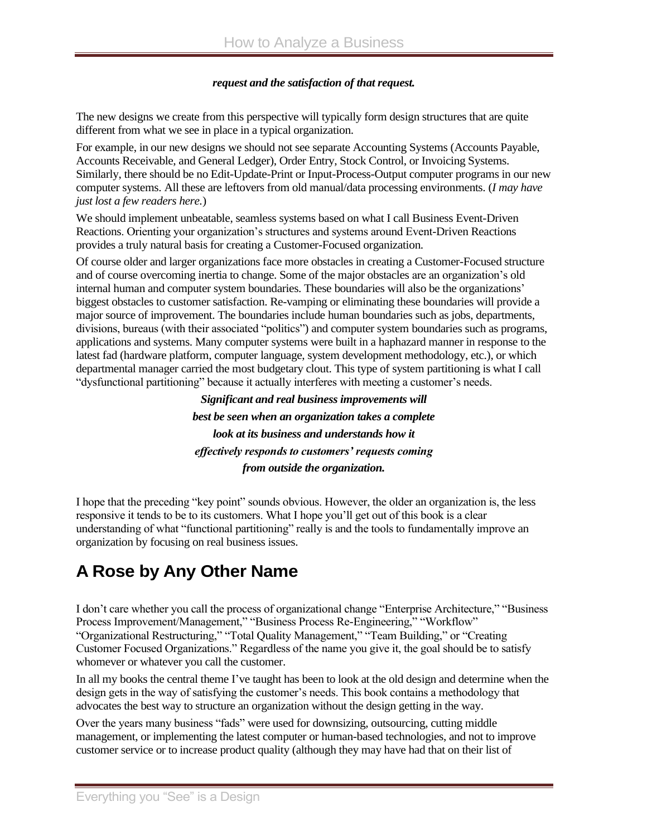#### *request and the satisfaction of that request.*

The new designs we create from this perspective will typically form design structures that are quite different from what we see in place in a typical organization.

For example, in our new designs we should not see separate Accounting Systems (Accounts Payable, Accounts Receivable, and General Ledger), Order Entry, Stock Control, or Invoicing Systems. Similarly, there should be no Edit-Update-Print or Input-Process-Output computer programs in our new computer systems. All these are leftovers from old manual/data processing environments. (*I may have just lost a few readers here.*)

We should implement unbeatable, seamless systems based on what I call Business Event-Driven Reactions. Orienting your organization's structures and systems around Event-Driven Reactions provides a truly natural basis for creating a Customer-Focused organization.

Of course older and larger organizations face more obstacles in creating a Customer-Focused structure and of course overcoming inertia to change. Some of the major obstacles are an organization's old internal human and computer system boundaries. These boundaries will also be the organizations' biggest obstacles to customer satisfaction. Re-vamping or eliminating these boundaries will provide a major source of improvement. The boundaries include human boundaries such as jobs, departments, divisions, bureaus (with their associated "politics") and computer system boundaries such as programs, applications and systems. Many computer systems were built in a haphazard manner in response to the latest fad (hardware platform, computer language, system development methodology, etc.), or which departmental manager carried the most budgetary clout. This type of system partitioning is what I call "dysfunctional partitioning" because it actually interferes with meeting a customer's needs.

> *Significant and real business improvements will best be seen when an organization takes a complete look at its business and understands how it effectively responds to customers' requests coming from outside the organization.*

I hope that the preceding "key point" sounds obvious. However, the older an organization is, the less responsive it tends to be to its customers. What I hope you'll get out of this book is a clear understanding of what "functional partitioning" really is and the tools to fundamentally improve an organization by focusing on real business issues.

# **A Rose by Any Other Name**

I don't care whether you call the process of organizational change "Enterprise Architecture," "Business Process Improvement/Management," "Business Process Re-Engineering," "Workflow" "Organizational Restructuring," "Total Quality Management," "Team Building," or "Creating Customer Focused Organizations." Regardless of the name you give it, the goal should be to satisfy whomever or whatever you call the customer.

In all my books the central theme I've taught has been to look at the old design and determine when the design gets in the way of satisfying the customer's needs. This book contains a methodology that advocates the best way to structure an organization without the design getting in the way.

Over the years many business "fads" were used for downsizing, outsourcing, cutting middle management, or implementing the latest computer or human-based technologies, and not to improve customer service or to increase product quality (although they may have had that on their list of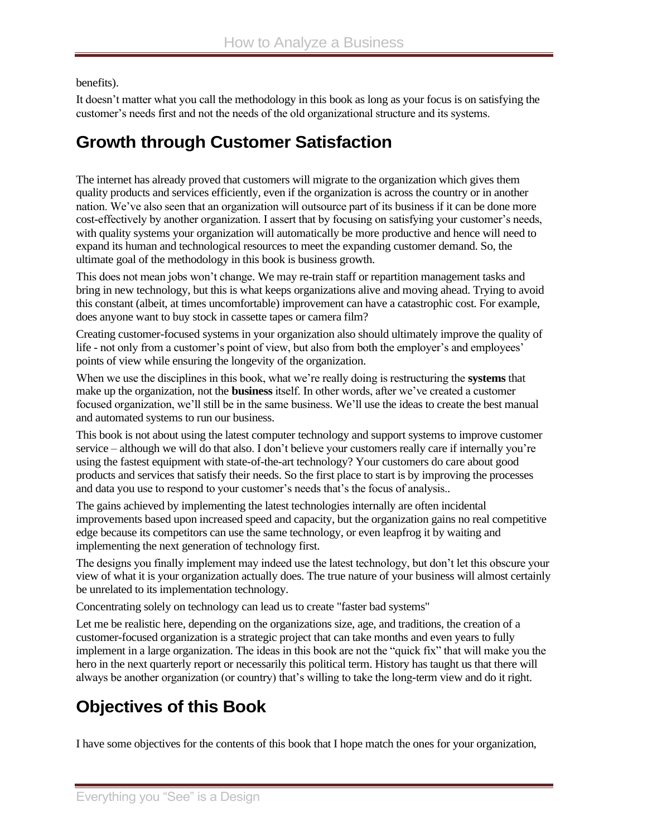benefits).

It doesn't matter what you call the methodology in this book as long as your focus is on satisfying the customer's needs first and not the needs of the old organizational structure and its systems.

### **Growth through Customer Satisfaction**

The internet has already proved that customers will migrate to the organization which gives them quality products and services efficiently, even if the organization is across the country or in another nation. We've also seen that an organization will outsource part of its business if it can be done more cost-effectively by another organization. I assert that by focusing on satisfying your customer's needs, with quality systems your organization will automatically be more productive and hence will need to expand its human and technological resources to meet the expanding customer demand. So, the ultimate goal of the methodology in this book is business growth.

This does not mean jobs won't change. We may re-train staff or repartition management tasks and bring in new technology, but this is what keeps organizations alive and moving ahead. Trying to avoid this constant (albeit, at times uncomfortable) improvement can have a catastrophic cost. For example, does anyone want to buy stock in cassette tapes or camera film?

Creating customer-focused systems in your organization also should ultimately improve the quality of life - not only from a customer's point of view, but also from both the employer's and employees' points of view while ensuring the longevity of the organization.

When we use the disciplines in this book, what we're really doing is restructuring the **systems** that make up the organization, not the **business** itself. In other words, after we've created a customer focused organization, we'll still be in the same business. We'll use the ideas to create the best manual and automated systems to run our business.

This book is not about using the latest computer technology and support systems to improve customer service – although we will do that also. I don't believe your customers really care if internally you're using the fastest equipment with state-of-the-art technology? Your customers do care about good products and services that satisfy their needs. So the first place to start is by improving the processes and data you use to respond to your customer's needs that's the focus of analysis..

The gains achieved by implementing the latest technologies internally are often incidental improvements based upon increased speed and capacity, but the organization gains no real competitive edge because its competitors can use the same technology, or even leapfrog it by waiting and implementing the next generation of technology first.

The designs you finally implement may indeed use the latest technology, but don't let this obscure your view of what it is your organization actually does. The true nature of your business will almost certainly be unrelated to its implementation technology.

Concentrating solely on technology can lead us to create "faster bad systems"

Let me be realistic here, depending on the organizations size, age, and traditions, the creation of a customer-focused organization is a strategic project that can take months and even years to fully implement in a large organization. The ideas in this book are not the "quick fix" that will make you the hero in the next quarterly report or necessarily this political term. History has taught us that there will always be another organization (or country) that's willing to take the long-term view and do it right.

## **Objectives of this Book**

I have some objectives for the contents of this book that I hope match the ones for your organization,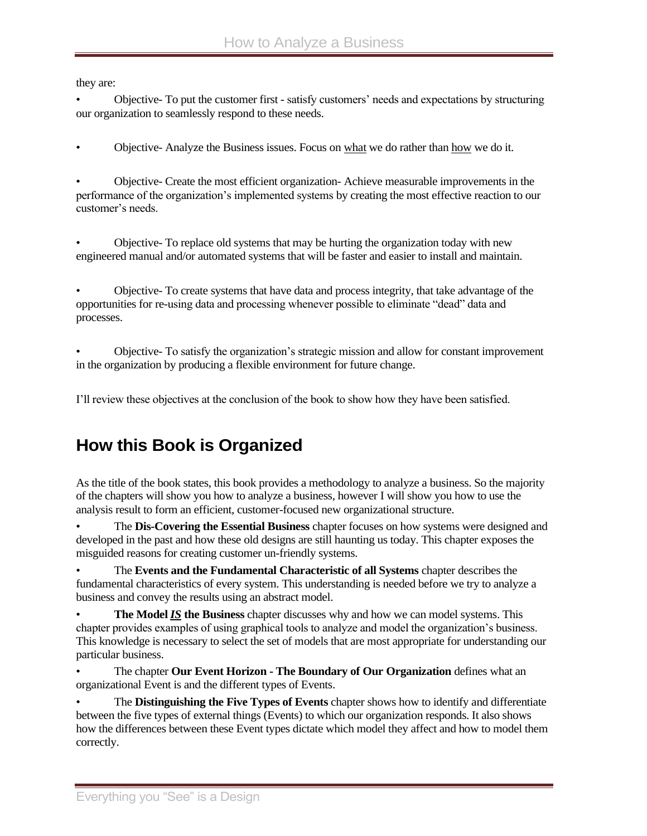they are:

• Objective- To put the customer first - satisfy customers' needs and expectations by structuring our organization to seamlessly respond to these needs.

• Objective- Analyze the Business issues. Focus on what we do rather than how we do it.

• Objective- Create the most efficient organization- Achieve measurable improvements in the performance of the organization's implemented systems by creating the most effective reaction to our customer's needs.

• Objective- To replace old systems that may be hurting the organization today with new engineered manual and/or automated systems that will be faster and easier to install and maintain.

• Objective- To create systems that have data and process integrity, that take advantage of the opportunities for re-using data and processing whenever possible to eliminate "dead" data and processes.

• Objective- To satisfy the organization's strategic mission and allow for constant improvement in the organization by producing a flexible environment for future change.

I'll review these objectives at the conclusion of the book to show how they have been satisfied.

## **How this Book is Organized**

As the title of the book states, this book provides a methodology to analyze a business. So the majority of the chapters will show you how to analyze a business, however I will show you how to use the analysis result to form an efficient, customer-focused new organizational structure.

• The **Dis-Covering the Essential Business** chapter focuses on how systems were designed and developed in the past and how these old designs are still haunting us today. This chapter exposes the misguided reasons for creating customer un-friendly systems.

• The **Events and the Fundamental Characteristic of all Systems** chapter describes the fundamental characteristics of every system. This understanding is needed before we try to analyze a business and convey the results using an abstract model.

• **The Model** *IS* **the Business** chapter discusses why and how we can model systems. This chapter provides examples of using graphical tools to analyze and model the organization's business. This knowledge is necessary to select the set of models that are most appropriate for understanding our particular business.

• The chapter **Our Event Horizon - The Boundary of Our Organization** defines what an organizational Event is and the different types of Events.

• The **Distinguishing the Five Types of Events** chapter shows how to identify and differentiate between the five types of external things (Events) to which our organization responds. It also shows how the differences between these Event types dictate which model they affect and how to model them correctly.